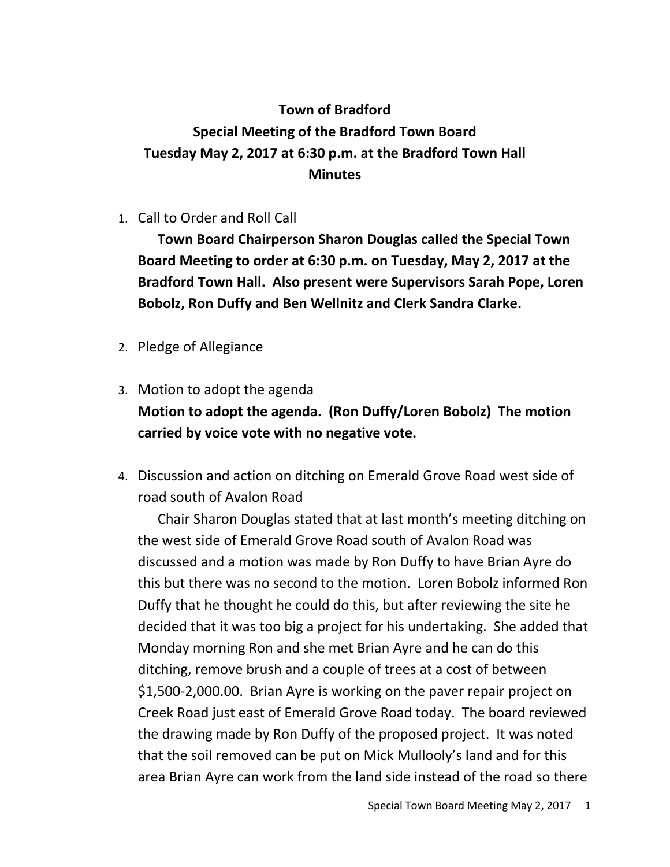## **Town of Bradford Special Meeting of the Bradford Town Board Tuesday May 2, 2017 at 6:30 p.m. at the Bradford Town Hall Minutes**

1. Call to Order and Roll Call

**Town Board Chairperson Sharon Douglas called the Special Town Board Meeting to order at 6:30 p.m. on Tuesday, May 2, 2017 at the Bradford Town Hall. Also present were Supervisors Sarah Pope, Loren Bobolz, Ron Duffy and Ben Wellnitz and Clerk Sandra Clarke.**

- 2. Pledge of Allegiance
- 3. Motion to adopt the agenda **Motion to adopt the agenda. (Ron Duffy/Loren Bobolz) The motion carried by voice vote with no negative vote.**
- 4. Discussion and action on ditching on Emerald Grove Road west side of road south of Avalon Road

Chair Sharon Douglas stated that at last month's meeting ditching on the west side of Emerald Grove Road south of Avalon Road was discussed and a motion was made by Ron Duffy to have Brian Ayre do this but there was no second to the motion. Loren Bobolz informed Ron Duffy that he thought he could do this, but after reviewing the site he decided that it was too big a project for his undertaking. She added that Monday morning Ron and she met Brian Ayre and he can do this ditching, remove brush and a couple of trees at a cost of between \$1,500-2,000.00. Brian Ayre is working on the paver repair project on Creek Road just east of Emerald Grove Road today. The board reviewed the drawing made by Ron Duffy of the proposed project. It was noted that the soil removed can be put on Mick Mullooly's land and for this area Brian Ayre can work from the land side instead of the road so there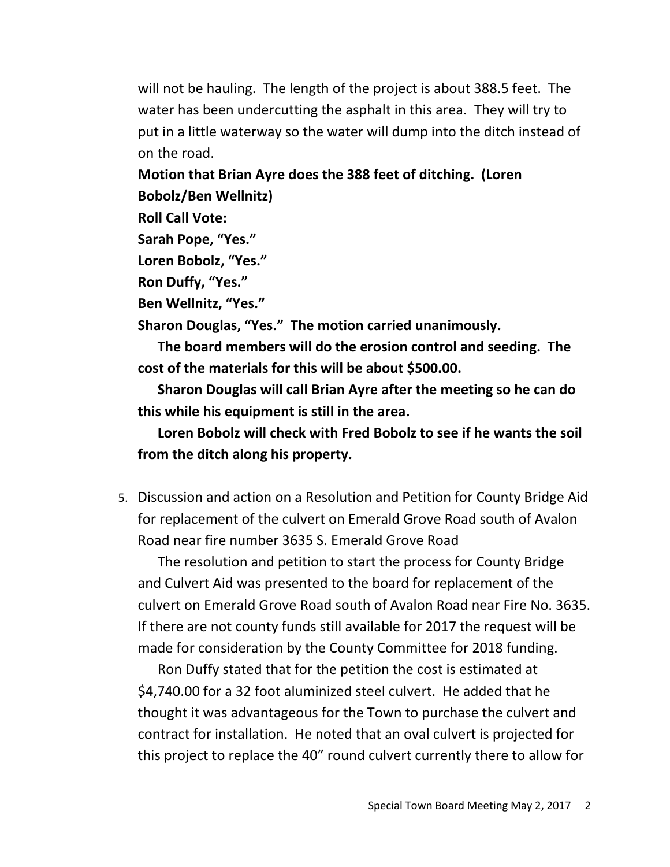will not be hauling. The length of the project is about 388.5 feet. The water has been undercutting the asphalt in this area. They will try to put in a little waterway so the water will dump into the ditch instead of on the road.

**Motion that Brian Ayre does the 388 feet of ditching. (Loren Bobolz/Ben Wellnitz)** 

**Roll Call Vote:**

```
Sarah Pope, "Yes."
```

```
Loren Bobolz, "Yes."
```
**Ron Duffy, "Yes."**

**Ben Wellnitz, "Yes."**

**Sharon Douglas, "Yes." The motion carried unanimously.**

**The board members will do the erosion control and seeding. The cost of the materials for this will be about \$500.00.**

**Sharon Douglas will call Brian Ayre after the meeting so he can do this while his equipment is still in the area.**

**Loren Bobolz will check with Fred Bobolz to see if he wants the soil from the ditch along his property.** 

5. Discussion and action on a Resolution and Petition for County Bridge Aid for replacement of the culvert on Emerald Grove Road south of Avalon Road near fire number 3635 S. Emerald Grove Road

The resolution and petition to start the process for County Bridge and Culvert Aid was presented to the board for replacement of the culvert on Emerald Grove Road south of Avalon Road near Fire No. 3635. If there are not county funds still available for 2017 the request will be made for consideration by the County Committee for 2018 funding.

Ron Duffy stated that for the petition the cost is estimated at \$4,740.00 for a 32 foot aluminized steel culvert. He added that he thought it was advantageous for the Town to purchase the culvert and contract for installation. He noted that an oval culvert is projected for this project to replace the 40" round culvert currently there to allow for